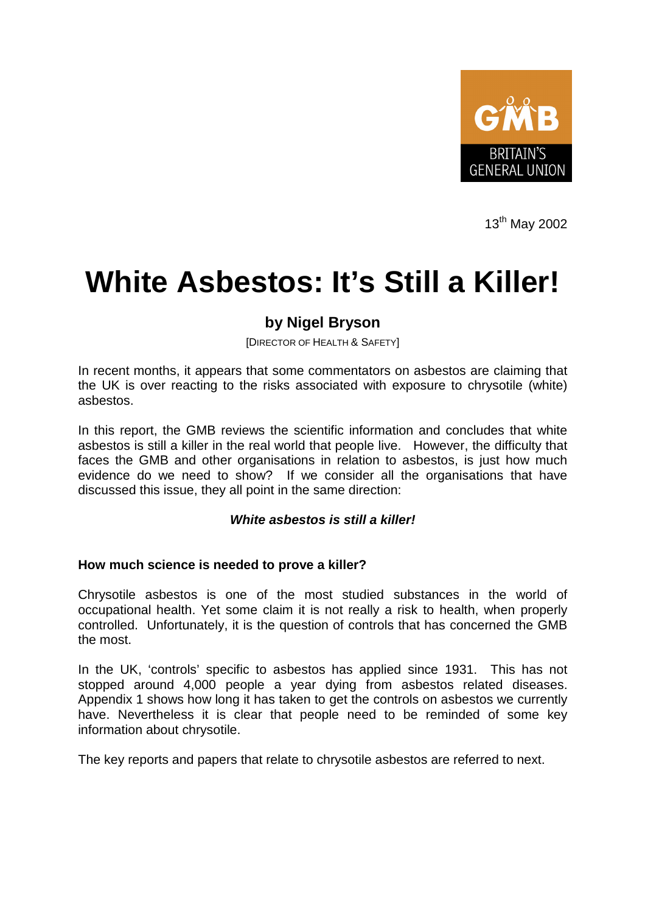

13th May 2002

# **White Asbestos: It's Still a Killer!**

# **by Nigel Bryson**

[DIRECTOR OF HEALTH & SAFETY]

In recent months, it appears that some commentators on asbestos are claiming that the UK is over reacting to the risks associated with exposure to chrysotile (white) asbestos.

In this report, the GMB reviews the scientific information and concludes that white asbestos is still a killer in the real world that people live. However, the difficulty that faces the GMB and other organisations in relation to asbestos, is just how much evidence do we need to show? If we consider all the organisations that have discussed this issue, they all point in the same direction:

### *White asbestos is still a killer!*

#### **How much science is needed to prove a killer?**

Chrysotile asbestos is one of the most studied substances in the world of occupational health. Yet some claim it is not really a risk to health, when properly controlled. Unfortunately, it is the question of controls that has concerned the GMB the most.

In the UK, 'controls' specific to asbestos has applied since 1931. This has not stopped around 4,000 people a year dying from asbestos related diseases. Appendix 1 shows how long it has taken to get the controls on asbestos we currently have. Nevertheless it is clear that people need to be reminded of some key information about chrysotile.

The key reports and papers that relate to chrysotile asbestos are referred to next.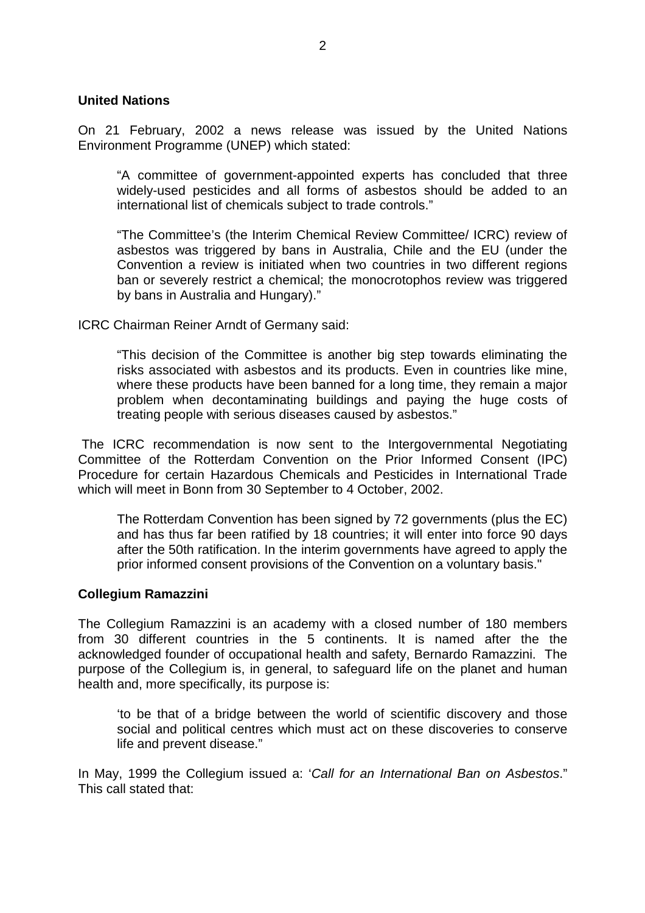#### **United Nations**

On 21 February, 2002 a news release was issued by the United Nations Environment Programme (UNEP) which stated:

"A committee of government-appointed experts has concluded that three widely-used pesticides and all forms of asbestos should be added to an international list of chemicals subject to trade controls."

 "The Committee's (the Interim Chemical Review Committee/ ICRC) review of asbestos was triggered by bans in Australia, Chile and the EU (under the Convention a review is initiated when two countries in two different regions ban or severely restrict a chemical; the monocrotophos review was triggered by bans in Australia and Hungary)."

ICRC Chairman Reiner Arndt of Germany said:

"This decision of the Committee is another big step towards eliminating the risks associated with asbestos and its products. Even in countries like mine, where these products have been banned for a long time, they remain a major problem when decontaminating buildings and paying the huge costs of treating people with serious diseases caused by asbestos."

 The ICRC recommendation is now sent to the Intergovernmental Negotiating Committee of the Rotterdam Convention on the Prior Informed Consent (IPC) Procedure for certain Hazardous Chemicals and Pesticides in International Trade which will meet in Bonn from 30 September to 4 October, 2002.

 The Rotterdam Convention has been signed by 72 governments (plus the EC) and has thus far been ratified by 18 countries; it will enter into force 90 days after the 50th ratification. In the interim governments have agreed to apply the prior informed consent provisions of the Convention on a voluntary basis."

#### **Collegium Ramazzini**

The Collegium Ramazzini is an academy with a closed number of 180 members from 30 different countries in the 5 continents. It is named after the the acknowledged founder of occupational health and safety, Bernardo Ramazzini. The purpose of the Collegium is, in general, to safeguard life on the planet and human health and, more specifically, its purpose is:

'to be that of a bridge between the world of scientific discovery and those social and political centres which must act on these discoveries to conserve life and prevent disease."

In May, 1999 the Collegium issued a: '*Call for an International Ban on Asbestos*." This call stated that: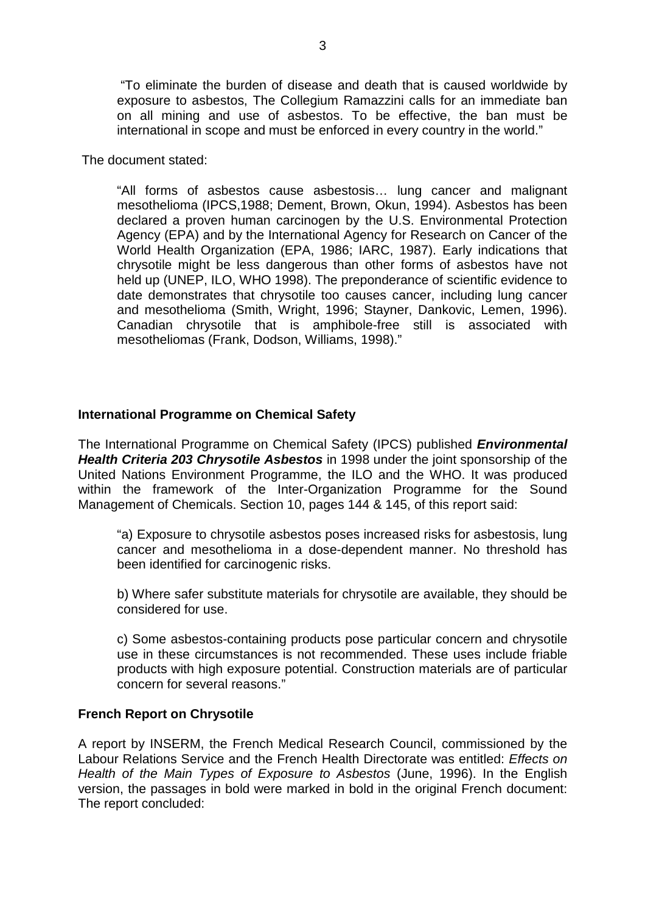"To eliminate the burden of disease and death that is caused worldwide by exposure to asbestos, The Collegium Ramazzini calls for an immediate ban on all mining and use of asbestos. To be effective, the ban must be international in scope and must be enforced in every country in the world."

The document stated:

"All forms of asbestos cause asbestosis… lung cancer and malignant mesothelioma (IPCS,1988; Dement, Brown, Okun, 1994). Asbestos has been declared a proven human carcinogen by the U.S. Environmental Protection Agency (EPA) and by the International Agency for Research on Cancer of the World Health Organization (EPA, 1986; IARC, 1987). Early indications that chrysotile might be less dangerous than other forms of asbestos have not held up (UNEP, ILO, WHO 1998). The preponderance of scientific evidence to date demonstrates that chrysotile too causes cancer, including lung cancer and mesothelioma (Smith, Wright, 1996; Stayner, Dankovic, Lemen, 1996). Canadian chrysotile that is amphibole-free still is associated with mesotheliomas (Frank, Dodson, Williams, 1998)."

#### **International Programme on Chemical Safety**

The International Programme on Chemical Safety (IPCS) published *Environmental Health Criteria 203 Chrysotile Asbestos* in 1998 under the joint sponsorship of the United Nations Environment Programme, the ILO and the WHO. It was produced within the framework of the Inter-Organization Programme for the Sound Management of Chemicals. Section 10, pages 144 & 145, of this report said:

"a) Exposure to chrysotile asbestos poses increased risks for asbestosis, lung cancer and mesothelioma in a dose-dependent manner. No threshold has been identified for carcinogenic risks.

b) Where safer substitute materials for chrysotile are available, they should be considered for use.

c) Some asbestos-containing products pose particular concern and chrysotile use in these circumstances is not recommended. These uses include friable products with high exposure potential. Construction materials are of particular concern for several reasons."

#### **French Report on Chrysotile**

A report by INSERM, the French Medical Research Council, commissioned by the Labour Relations Service and the French Health Directorate was entitled: *Effects on Health of the Main Types of Exposure to Asbestos* (June, 1996). In the English version, the passages in bold were marked in bold in the original French document: The report concluded: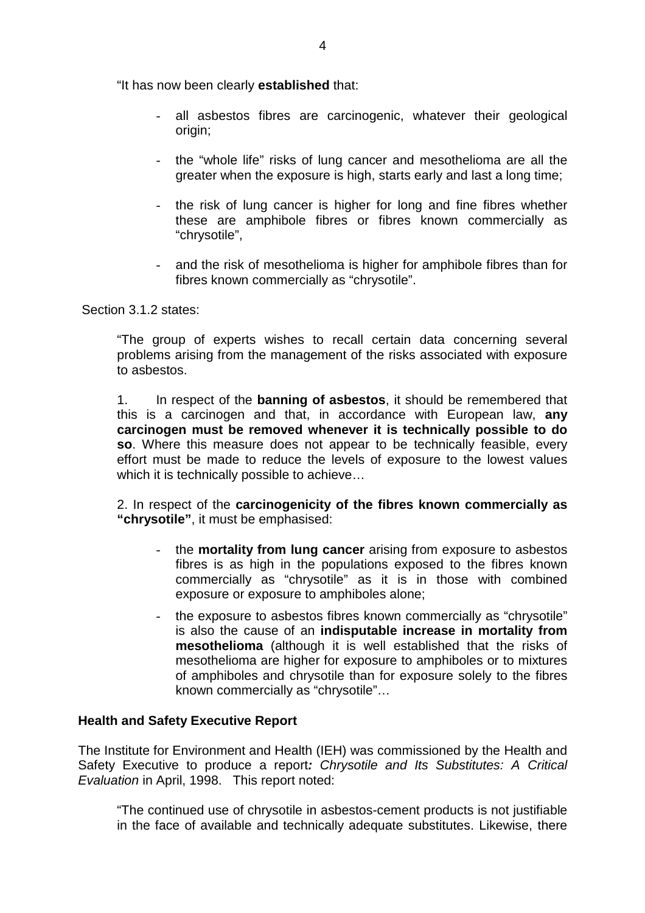"It has now been clearly **established** that:

- all asbestos fibres are carcinogenic, whatever their geological origin;
- the "whole life" risks of lung cancer and mesothelioma are all the greater when the exposure is high, starts early and last a long time;
- the risk of lung cancer is higher for long and fine fibres whether these are amphibole fibres or fibres known commercially as "chrysotile",
- and the risk of mesothelioma is higher for amphibole fibres than for fibres known commercially as "chrysotile".

#### Section 3.1.2 states:

"The group of experts wishes to recall certain data concerning several problems arising from the management of the risks associated with exposure to asbestos.

1. In respect of the **banning of asbestos**, it should be remembered that this is a carcinogen and that, in accordance with European law, **any carcinogen must be removed whenever it is technically possible to do so**. Where this measure does not appear to be technically feasible, every effort must be made to reduce the levels of exposure to the lowest values which it is technically possible to achieve…

2. In respect of the **carcinogenicity of the fibres known commercially as "chrysotile"**, it must be emphasised:

- the **mortality from lung cancer** arising from exposure to asbestos fibres is as high in the populations exposed to the fibres known commercially as "chrysotile" as it is in those with combined exposure or exposure to amphiboles alone;
- the exposure to asbestos fibres known commercially as "chrysotile" is also the cause of an **indisputable increase in mortality from mesothelioma** (although it is well established that the risks of mesothelioma are higher for exposure to amphiboles or to mixtures of amphiboles and chrysotile than for exposure solely to the fibres known commercially as "chrysotile"…

#### **Health and Safety Executive Report**

The Institute for Environment and Health (IEH) was commissioned by the Health and Safety Executive to produce a report*: Chrysotile and Its Substitutes: A Critical Evaluation* in April, 1998. This report noted:

"The continued use of chrysotile in asbestos-cement products is not justifiable in the face of available and technically adequate substitutes. Likewise, there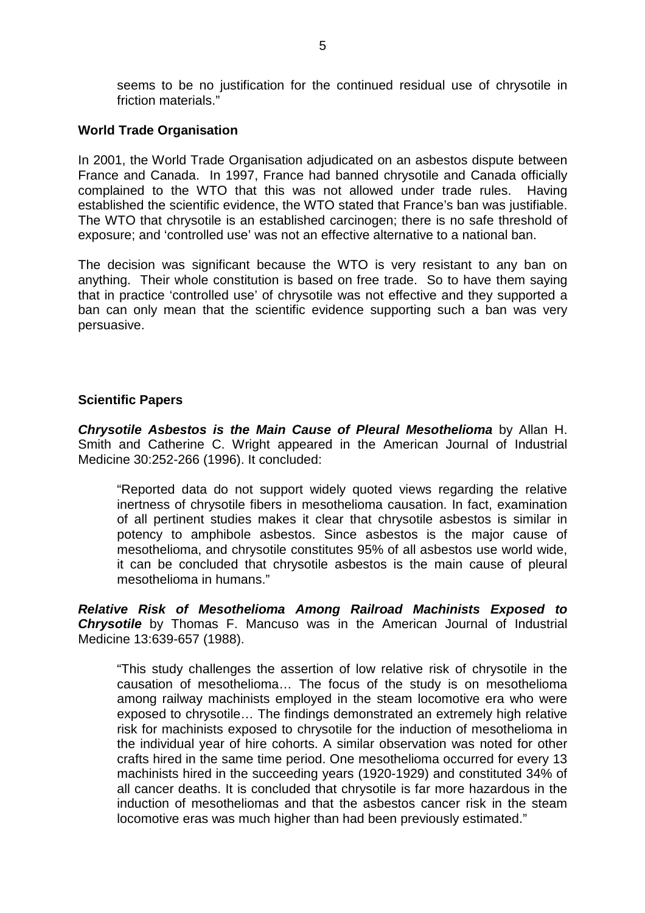seems to be no justification for the continued residual use of chrysotile in friction materials."

#### **World Trade Organisation**

In 2001, the World Trade Organisation adjudicated on an asbestos dispute between France and Canada. In 1997, France had banned chrysotile and Canada officially complained to the WTO that this was not allowed under trade rules. Having established the scientific evidence, the WTO stated that France's ban was justifiable. The WTO that chrysotile is an established carcinogen; there is no safe threshold of exposure; and 'controlled use' was not an effective alternative to a national ban.

The decision was significant because the WTO is very resistant to any ban on anything. Their whole constitution is based on free trade. So to have them saying that in practice 'controlled use' of chrysotile was not effective and they supported a ban can only mean that the scientific evidence supporting such a ban was very persuasive.

#### **Scientific Papers**

*Chrysotile Asbestos is the Main Cause of Pleural Mesothelioma* by Allan H. Smith and Catherine C. Wright appeared in the American Journal of Industrial Medicine 30:252-266 (1996). It concluded:

"Reported data do not support widely quoted views regarding the relative inertness of chrysotile fibers in mesothelioma causation. In fact, examination of all pertinent studies makes it clear that chrysotile asbestos is similar in potency to amphibole asbestos. Since asbestos is the major cause of mesothelioma, and chrysotile constitutes 95% of all asbestos use world wide, it can be concluded that chrysotile asbestos is the main cause of pleural mesothelioma in humans."

*Relative Risk of Mesothelioma Among Railroad Machinists Exposed to* **Chrysotile** by Thomas F. Mancuso was in the American Journal of Industrial Medicine 13:639-657 (1988).

"This study challenges the assertion of low relative risk of chrysotile in the causation of mesothelioma… The focus of the study is on mesothelioma among railway machinists employed in the steam locomotive era who were exposed to chrysotile… The findings demonstrated an extremely high relative risk for machinists exposed to chrysotile for the induction of mesothelioma in the individual year of hire cohorts. A similar observation was noted for other crafts hired in the same time period. One mesothelioma occurred for every 13 machinists hired in the succeeding years (1920-1929) and constituted 34% of all cancer deaths. It is concluded that chrysotile is far more hazardous in the induction of mesotheliomas and that the asbestos cancer risk in the steam locomotive eras was much higher than had been previously estimated."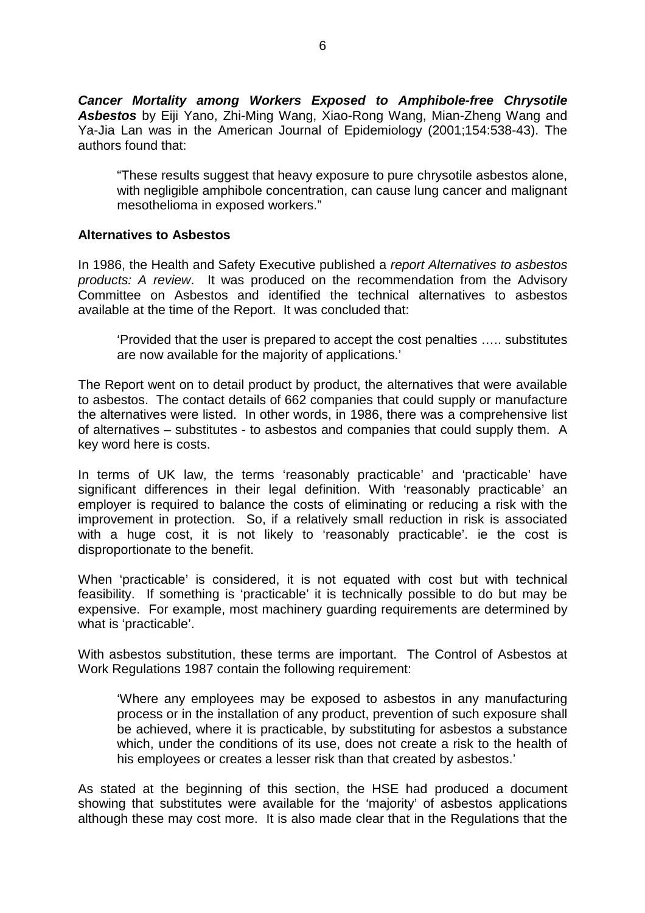*Cancer Mortality among Workers Exposed to Amphibole-free Chrysotile Asbestos* by Eiji Yano, Zhi-Ming Wang, Xiao-Rong Wang, Mian-Zheng Wang and Ya-Jia Lan was in the American Journal of Epidemiology (2001;154:538-43). The authors found that:

"These results suggest that heavy exposure to pure chrysotile asbestos alone, with negligible amphibole concentration, can cause lung cancer and malignant mesothelioma in exposed workers."

#### **Alternatives to Asbestos**

In 1986, the Health and Safety Executive published a *report Alternatives to asbestos products: A review*. It was produced on the recommendation from the Advisory Committee on Asbestos and identified the technical alternatives to asbestos available at the time of the Report. It was concluded that:

'Provided that the user is prepared to accept the cost penalties ….. substitutes are now available for the majority of applications.'

The Report went on to detail product by product, the alternatives that were available to asbestos. The contact details of 662 companies that could supply or manufacture the alternatives were listed. In other words, in 1986, there was a comprehensive list of alternatives – substitutes - to asbestos and companies that could supply them. A key word here is costs.

In terms of UK law, the terms 'reasonably practicable' and 'practicable' have significant differences in their legal definition. With 'reasonably practicable' an employer is required to balance the costs of eliminating or reducing a risk with the improvement in protection. So, if a relatively small reduction in risk is associated with a huge cost, it is not likely to 'reasonably practicable'. ie the cost is disproportionate to the benefit.

When 'practicable' is considered, it is not equated with cost but with technical feasibility. If something is 'practicable' it is technically possible to do but may be expensive. For example, most machinery guarding requirements are determined by what is 'practicable'.

With asbestos substitution, these terms are important. The Control of Asbestos at Work Regulations 1987 contain the following requirement:

'Where any employees may be exposed to asbestos in any manufacturing process or in the installation of any product, prevention of such exposure shall be achieved, where it is practicable, by substituting for asbestos a substance which, under the conditions of its use, does not create a risk to the health of his employees or creates a lesser risk than that created by asbestos.'

As stated at the beginning of this section, the HSE had produced a document showing that substitutes were available for the 'majority' of asbestos applications although these may cost more. It is also made clear that in the Regulations that the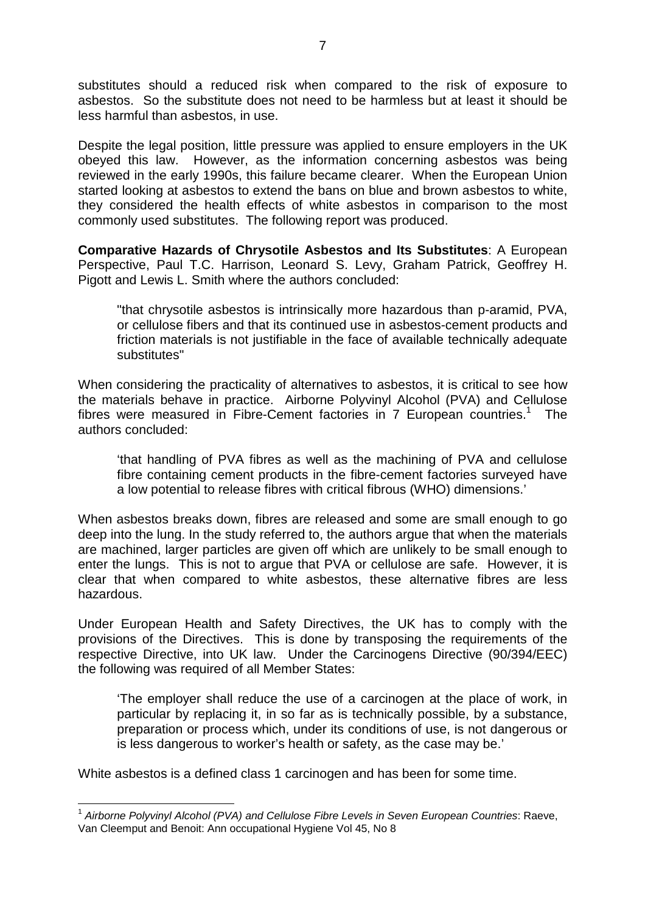substitutes should a reduced risk when compared to the risk of exposure to asbestos. So the substitute does not need to be harmless but at least it should be less harmful than asbestos, in use.

Despite the legal position, little pressure was applied to ensure employers in the UK obeyed this law. However, as the information concerning asbestos was being reviewed in the early 1990s, this failure became clearer. When the European Union started looking at asbestos to extend the bans on blue and brown asbestos to white, they considered the health effects of white asbestos in comparison to the most commonly used substitutes. The following report was produced.

**Comparative Hazards of Chrysotile Asbestos and Its Substitutes**: A European Perspective, Paul T.C. Harrison, Leonard S. Levy, Graham Patrick, Geoffrey H. Pigott and Lewis L. Smith where the authors concluded:

"that chrysotile asbestos is intrinsically more hazardous than p-aramid, PVA, or cellulose fibers and that its continued use in asbestos-cement products and friction materials is not justifiable in the face of available technically adequate substitutes"

When considering the practicality of alternatives to asbestos, it is critical to see how the materials behave in practice. Airborne Polyvinyl Alcohol (PVA) and Cellulose fibres were measured in Fibre-Cement factories in 7 European countries.<sup>1</sup> The authors concluded:

'that handling of PVA fibres as well as the machining of PVA and cellulose fibre containing cement products in the fibre-cement factories surveyed have a low potential to release fibres with critical fibrous (WHO) dimensions.'

When asbestos breaks down, fibres are released and some are small enough to go deep into the lung. In the study referred to, the authors argue that when the materials are machined, larger particles are given off which are unlikely to be small enough to enter the lungs. This is not to argue that PVA or cellulose are safe. However, it is clear that when compared to white asbestos, these alternative fibres are less hazardous.

Under European Health and Safety Directives, the UK has to comply with the provisions of the Directives. This is done by transposing the requirements of the respective Directive, into UK law. Under the Carcinogens Directive (90/394/EEC) the following was required of all Member States:

'The employer shall reduce the use of a carcinogen at the place of work, in particular by replacing it, in so far as is technically possible, by a substance, preparation or process which, under its conditions of use, is not dangerous or is less dangerous to worker's health or safety, as the case may be.'

White asbestos is a defined class 1 carcinogen and has been for some time.

 $\overline{a}$ <sup>1</sup> *Airborne Polyvinyl Alcohol (PVA) and Cellulose Fibre Levels in Seven European Countries*: Raeve, Van Cleemput and Benoit: Ann occupational Hygiene Vol 45, No 8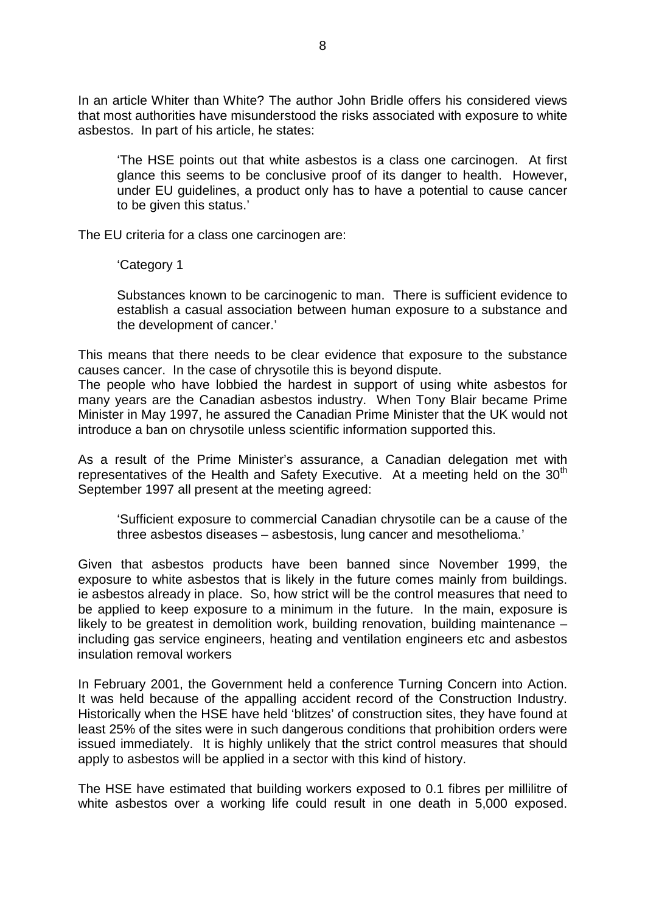In an article Whiter than White? The author John Bridle offers his considered views that most authorities have misunderstood the risks associated with exposure to white asbestos. In part of his article, he states:

'The HSE points out that white asbestos is a class one carcinogen. At first glance this seems to be conclusive proof of its danger to health. However, under EU guidelines, a product only has to have a potential to cause cancer to be given this status.'

The EU criteria for a class one carcinogen are:

'Category 1

Substances known to be carcinogenic to man. There is sufficient evidence to establish a casual association between human exposure to a substance and the development of cancer.'

This means that there needs to be clear evidence that exposure to the substance causes cancer. In the case of chrysotile this is beyond dispute.

The people who have lobbied the hardest in support of using white asbestos for many years are the Canadian asbestos industry. When Tony Blair became Prime Minister in May 1997, he assured the Canadian Prime Minister that the UK would not introduce a ban on chrysotile unless scientific information supported this.

As a result of the Prime Minister's assurance, a Canadian delegation met with representatives of the Health and Safety Executive. At a meeting held on the  $30<sup>th</sup>$ September 1997 all present at the meeting agreed:

'Sufficient exposure to commercial Canadian chrysotile can be a cause of the three asbestos diseases – asbestosis, lung cancer and mesothelioma.'

Given that asbestos products have been banned since November 1999, the exposure to white asbestos that is likely in the future comes mainly from buildings. ie asbestos already in place. So, how strict will be the control measures that need to be applied to keep exposure to a minimum in the future. In the main, exposure is likely to be greatest in demolition work, building renovation, building maintenance – including gas service engineers, heating and ventilation engineers etc and asbestos insulation removal workers

In February 2001, the Government held a conference Turning Concern into Action. It was held because of the appalling accident record of the Construction Industry. Historically when the HSE have held 'blitzes' of construction sites, they have found at least 25% of the sites were in such dangerous conditions that prohibition orders were issued immediately. It is highly unlikely that the strict control measures that should apply to asbestos will be applied in a sector with this kind of history.

The HSE have estimated that building workers exposed to 0.1 fibres per millilitre of white asbestos over a working life could result in one death in 5,000 exposed.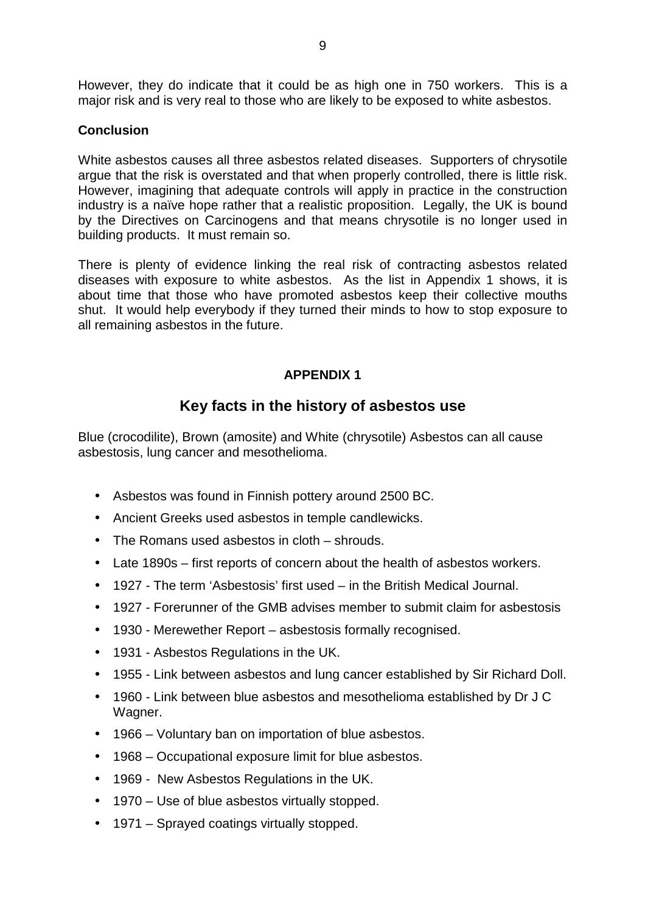However, they do indicate that it could be as high one in 750 workers. This is a major risk and is very real to those who are likely to be exposed to white asbestos.

#### **Conclusion**

White asbestos causes all three asbestos related diseases. Supporters of chrysotile argue that the risk is overstated and that when properly controlled, there is little risk. However, imagining that adequate controls will apply in practice in the construction industry is a naïve hope rather that a realistic proposition. Legally, the UK is bound by the Directives on Carcinogens and that means chrysotile is no longer used in building products. It must remain so.

There is plenty of evidence linking the real risk of contracting asbestos related diseases with exposure to white asbestos. As the list in Appendix 1 shows, it is about time that those who have promoted asbestos keep their collective mouths shut. It would help everybody if they turned their minds to how to stop exposure to all remaining asbestos in the future.

## **APPENDIX 1**

# **Key facts in the history of asbestos use**

Blue (crocodilite), Brown (amosite) and White (chrysotile) Asbestos can all cause asbestosis, lung cancer and mesothelioma.

- Asbestos was found in Finnish pottery around 2500 BC.
- Ancient Greeks used asbestos in temple candlewicks.
- The Romans used asbestos in cloth shrouds.
- Late 1890s first reports of concern about the health of asbestos workers.
- 1927 The term 'Asbestosis' first used in the British Medical Journal.
- 1927 Forerunner of the GMB advises member to submit claim for asbestosis
- 1930 Merewether Report asbestosis formally recognised.
- 1931 Asbestos Regulations in the UK.
- 1955 Link between asbestos and lung cancer established by Sir Richard Doll.
- 1960 Link between blue asbestos and mesothelioma established by Dr J C Wagner.
- 1966 Voluntary ban on importation of blue asbestos.
- 1968 Occupational exposure limit for blue asbestos.
- 1969 New Asbestos Regulations in the UK.
- 1970 Use of blue asbestos virtually stopped.
- 1971 Sprayed coatings virtually stopped.